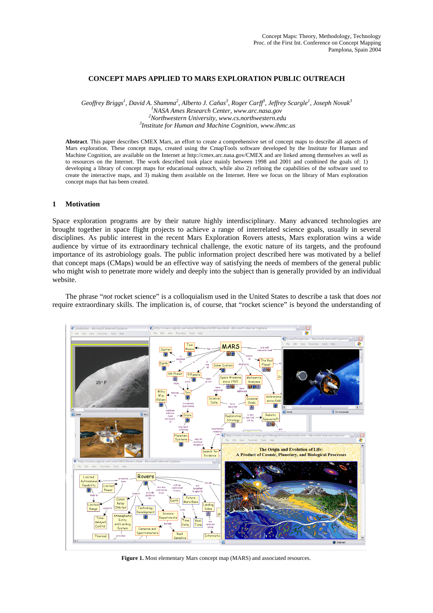# **CONCEPT MAPS APPLIED TO MARS EXPLORATION PUBLIC OUTREACH**

*Geoffrey Briggs<sup>1</sup>*, *David A. Shamma<sup>2</sup>*, *Alberto J. Cañas<sup>3</sup>, Roger Carff<sup>3</sup>, Jeffrey Scargle<sup>1</sup>, Joseph Novak<sup>3</sup><br><sup>1</sup>NASA Ames Bessanch Center <i>your are ness* sow *NASA Ames Research Center, www.arc.nasa.gov 2 Northwestern University, www.cs.northwestern.edu 3 Institute for Human and Machine Cognition, www.ihmc.us* 

**Abstract**. This paper describes CMEX Mars, an effort to create a comprehensive set of concept maps to describe all aspects of Mars exploration. These concept maps, created using the CmapTools software developed by the Institute for Human and Machine Cognition, are available on the Internet at http://cmex.arc.nasa.gov/CMEX and are linked among themselves as well as to resources on the Internet. The work described took place mainly between 1998 and 2001 and combined the goals of: 1) developing a library of concept maps for educational outreach, while also 2) refining the capabilities of the software used to create the interactive maps, and 3) making them available on the Internet. Here we focus on the library of Mars exploration concept maps that has been created.

#### **1 Motivation**

Space exploration programs are by their nature highly interdisciplinary. Many advanced technologies are brought together in space flight projects to achieve a range of interrelated science goals, usually in several disciplines. As public interest in the recent Mars Exploration Rovers attests, Mars exploration wins a wide audience by virtue of its extraordinary technical challenge, the exotic nature of its targets, and the profound importance of its astrobiology goals. The public information project described here was motivated by a belief that concept maps (CMaps) would be an effective way of satisfying the needs of members of the general public who might wish to penetrate more widely and deeply into the subject than is generally provided by an individual website.

The phrase "*not* rocket science" is a colloquialism used in the United States to describe a task that does *not* require extraordinary skills. The implication is, of course, that "rocket science" is beyond the understanding of



**Figure 1.** Most elementary Mars concept map (MARS) and associated resources.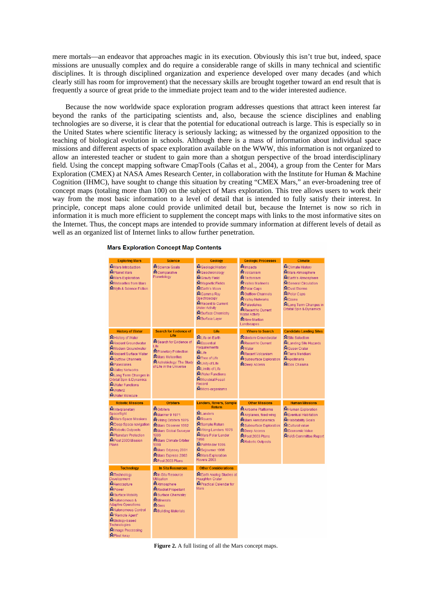mere mortals—an endeavor that approaches magic in its execution. Obviously this isn't true but, indeed, space missions are unusually complex and do require a considerable range of skills in many technical and scientific disciplines. It is through disciplined organization and experience developed over many decades (and which clearly still has room for improvement) that the necessary skills are brought together toward an end result that is frequently a source of great pride to the immediate project team and to the wider interested audience.

Because the now worldwide space exploration program addresses questions that attract keen interest far beyond the ranks of the participating scientists and, also, because the science disciplines and enabling technologies are so diverse, it is clear that the potential for educational outreach is large. This is especially so in the United States where scientific literacy is seriously lacking; as witnessed by the organized opposition to the teaching of biological evolution in schools. Although there is a mass of information about individual space missions and different aspects of space exploration available on the WWW, this information is not organized to allow an interested teacher or student to gain more than a shotgun perspective of the broad interdisciplinary field. Using the concept mapping software CmapTools (Cañas et al., 2004), a group from the Center for Mars Exploration (CMEX) at NASA Ames Research Center, in collaboration with the Institute for Human & Machine Cognition (IHMC), have sought to change this situation by creating "CMEX Mars," an ever-broadening tree of concept maps (totaling more than 100) on the subject of Mars exploration. This tree allows users to work their way from the most basic information to a level of detail that is intended to fully satisfy their interest. In principle, concept maps alone could provide unlimited detail but, because the Internet is now so rich in information it is much more efficient to supplement the concept maps with links to the most informative sites on the Internet. Thus, the concept maps are intended to provide summary information at different levels of detail as well as an organized list of Internet links to allow further penetration.

| <b>Exploring Mars</b>                                                                                                                                                                                                                                                                                                     | <b>Science</b>                                                                                                                                                                                                                  | Geology                                                                                                                                                                                                                                      | <b>Geologic Processes</b>                                                                                                                                                                                                                                                    | <b>Climate</b>                                                                                                                                                                                       |
|---------------------------------------------------------------------------------------------------------------------------------------------------------------------------------------------------------------------------------------------------------------------------------------------------------------------------|---------------------------------------------------------------------------------------------------------------------------------------------------------------------------------------------------------------------------------|----------------------------------------------------------------------------------------------------------------------------------------------------------------------------------------------------------------------------------------------|------------------------------------------------------------------------------------------------------------------------------------------------------------------------------------------------------------------------------------------------------------------------------|------------------------------------------------------------------------------------------------------------------------------------------------------------------------------------------------------|
| <i>In</i> Mars Introduction<br><b>我Planet Mars</b><br><i>a</i> Mars Exploration<br>Meteorites from Mars<br>#Myth & Science Fiction                                                                                                                                                                                        | 鼎 Science Goals<br><b>鼎</b> Comparative<br>Planetology                                                                                                                                                                          | 鼎 Geologic History<br>鼎 Geochronology<br>鼎 Gravity Field<br>鼎 <sub>Magnetic Fields</sub><br>鼎Earth's Moon<br>鼎 Gamma Ray<br>Spectroscopy<br>Recent to Current<br>Water Activity<br>Surface Chemistry<br>鼎 Surface Layer                      | ※Impacts<br><b>或</b> Volcanism<br><b>露Tectonism</b><br><b>露</b> Valles Marineris<br>鼎Polar Caps<br><b>縁</b> Outflow Channels<br><b>或</b> Valley Networks<br><b>鼎</b> Paleolakes<br>露Recent to Current<br><b>Water Activity</b><br>x <mark>h</mark> New Martian<br>Landscapes | 鼎 Climate History<br>级 Mars Atmosphere<br>鼎Earth's Atmosphere<br>鼎 General Circulation<br>រីវិះDust Storms<br>鼎Polar Caps<br>鼎 <sub>Ozone</sub><br>品 Long Term Changes in<br>Orbital Spin & Dynamics |
| <b>History of Water</b>                                                                                                                                                                                                                                                                                                   | <b>Search for Evidence of</b>                                                                                                                                                                                                   | Life                                                                                                                                                                                                                                         | <b>Where to Search</b>                                                                                                                                                                                                                                                       | <b>Candidate Landing Sites</b>                                                                                                                                                                       |
| <sup>露</sup> History of Water<br>舉 Ancient Groundwater<br><b>或</b> Modern Groundwater<br>鼎 Ancient Surface Water<br>■ Outflow Channels<br><b>鼎Paleolakes</b><br>■Valley Networks<br>载Long Term Changes in<br><b>Orbital Spin &amp; Dynamics</b><br><b>最</b> Water Functions<br><b>最</b> Water2<br><b>鼎</b> Water Molecule | I ife<br>Search for Evidence of<br>l ife<br>鼎 Planetary Protection<br>រើវិMars Meteorites<br>鼎 Astrobiology: The Study<br>of Life in the Universe                                                                               | 鼎Life on Earth<br>짧Essential<br>Requirements<br><b>最Life</b><br><b>最Tree of Life</b><br>nity of Life<br>鼎Limits of Life<br>森 <sub>Water Functions</sub><br>鼎Microbial Fossil<br>Record<br>រើរិ Micro-organisms                               | <b>最Modern Groundwater</b><br>Recent to Current<br><b>最</b> Water<br>露Recent Volcanism<br>Subsurface Exploration<br>品 Deep Access                                                                                                                                            | <b>綿</b> Site Selection<br>鼎Landing Site Hazards<br>鼎 Gusev Crater<br>鼎Terra Meridiani<br>鼎 <sub>Apollinaris</sub><br>热Eos Chasma                                                                    |
| <b>Robotic Missions</b>                                                                                                                                                                                                                                                                                                   | <b>Orbiters</b>                                                                                                                                                                                                                 | Landers, Rovers, Sample                                                                                                                                                                                                                      | <b>Other Missions</b>                                                                                                                                                                                                                                                        | <b>Human Missions</b>                                                                                                                                                                                |
| <b>或</b> Interplanetary<br>Spaceflight<br>都 Mars Space Missions<br>级 Deep Space navigation<br>器Robotic Outposts<br>鼎Planetary Protection<br>鼎Post 2003 Mission<br>Plans                                                                                                                                                   | <b>鼎</b> Orbiters<br><i>นี</i> ๊ะ Mariner 9 1971<br>器Viking Orbiters 1976<br>Mars Observer 1992<br>鼎Mars Global Surveyor<br>1996<br>森Mars Climate Orbiter<br>1998<br>Mars Odyssey 2001<br>Mars Express 2003<br>鼎Post 2003 Plans | <b>Return</b><br>鼎Landers<br>鼎 <sub>Rovers</sub><br><i>นี้</i> \$Sample Return<br>盘Viking Landers 1976<br>₩ars Polar Lander<br>1998<br>₩Pathfinder 1996<br>វ <b>ីរ</b> Sojourner 1996<br><sup>K</sup> Mars Exploration<br><b>Rovers 2003</b> | <b>或</b> Airborne Platforms<br>盘Airplanes, fixed wing<br>盘Mars Aerodynamics<br>级 Subsurface Exploration<br>歸Deep Access<br>과Post 2003 Plans<br>Reportic Outposts                                                                                                             | 级 Human Exploration<br>级 Eventual Habitation<br>₩Habitability Goals<br>มีริ Cultural value<br>鼎 Economic Value<br>鼎NAS Committee Report                                                              |
| <b>Technology</b>                                                                                                                                                                                                                                                                                                         | <b>In Situ Resources</b>                                                                                                                                                                                                        | <b>Other Considerations</b>                                                                                                                                                                                                                  |                                                                                                                                                                                                                                                                              |                                                                                                                                                                                                      |
| <b>最Technology</b><br>Development<br>级 Aerocapture<br>뺣Power<br>Surface Mobility<br>跟Autonomous &<br><b>Adaptive Operations</b><br>Autonomous Control<br><sup>15</sup> "Remote Agent"<br>器Biology-based<br>Technologies<br>鼎 <sub>Image</sub> Processing<br>载Pixel Array                                                  | <b>Ma</b> In Situ Resource<br>Utilization<br><b>热</b> Atmosphere<br>Rocket Propellant<br>Surface Chemistry<br><b><i>វីធី</i> Minerals</b><br>鼎Ores<br>级Building Materials                                                       | 鼎Earth Analog Studies at<br><b>Haughton Crater</b><br>Practical Calendar for<br>Mars                                                                                                                                                         |                                                                                                                                                                                                                                                                              |                                                                                                                                                                                                      |

**Mars Exploration Concept Map Contents** 

**Figure 2.** A full listing of all the Mars concept maps.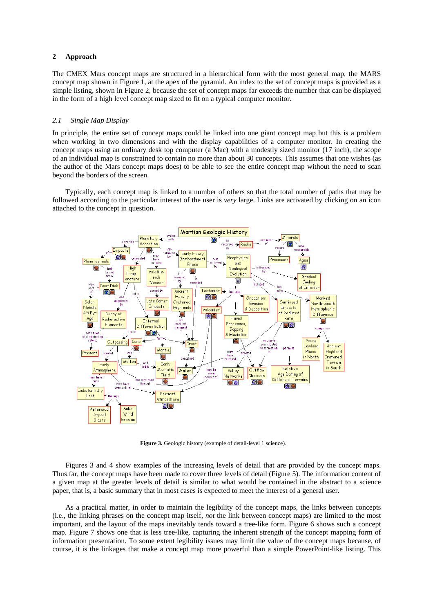# **2 Approach**

The CMEX Mars concept maps are structured in a hierarchical form with the most general map, the MARS concept map shown in Figure 1, at the apex of the pyramid. An index to the set of concept maps is provided as a simple listing, shown in Figure 2, because the set of concept maps far exceeds the number that can be displayed in the form of a high level concept map sized to fit on a typical computer monitor.

## *2.1 Single Map Display*

In principle, the entire set of concept maps could be linked into one giant concept map but this is a problem when working in two dimensions and with the display capabilities of a computer monitor. In creating the concept maps using an ordinary desk top computer (a Mac) with a modestly sized monitor (17 inch), the scope of an individual map is constrained to contain no more than about 30 concepts. This assumes that one wishes (as the author of the Mars concept maps does) to be able to see the entire concept map without the need to scan beyond the borders of the screen.

Typically, each concept map is linked to a number of others so that the total number of paths that may be followed according to the particular interest of the user is *very* large. Links are activated by clicking on an icon attached to the concept in question.



**Figure 3.** Geologic history (example of detail-level 1 science).

Figures 3 and 4 show examples of the increasing levels of detail that are provided by the concept maps. Thus far, the concept maps have been made to cover three levels of detail (Figure 5). The information content of a given map at the greater levels of detail is similar to what would be contained in the abstract to a science paper, that is, a basic summary that in most cases is expected to meet the interest of a general user.

As a practical matter, in order to maintain the legibility of the concept maps, the links between concepts (i.e., the linking phrases on the concept map itself, *not* the link between concept maps) are limited to the most important, and the layout of the maps inevitably tends toward a tree-like form. Figure 6 shows such a concept map. Figure 7 shows one that is less tree-like, capturing the inherent strength of the concept mapping form of information presentation. To some extent legibility issues may limit the value of the concept maps because, of course, it is the linkages that make a concept map more powerful than a simple PowerPoint-like listing. This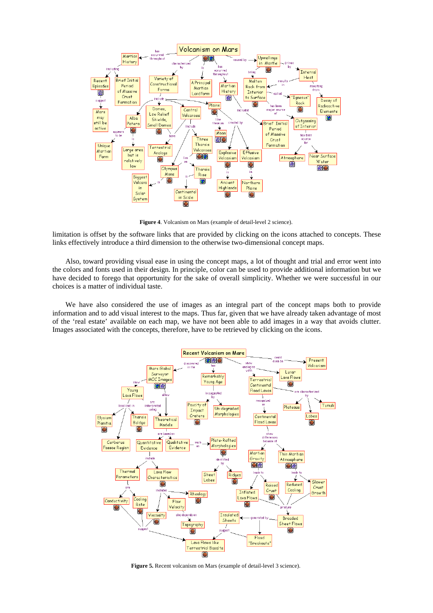

**Figure 4**. Volcanism on Mars (example of detail-level 2 science).

limitation is offset by the software links that are provided by clicking on the icons attached to concepts. These links effectively introduce a third dimension to the otherwise two-dimensional concept maps.

Also, toward providing visual ease in using the concept maps, a lot of thought and trial and error went into the colors and fonts used in their design. In principle, color can be used to provide additional information but we have decided to forego that opportunity for the sake of overall simplicity. Whether we were successful in our choices is a matter of individual taste.

We have also considered the use of images as an integral part of the concept maps both to provide information and to add visual interest to the maps. Thus far, given that we have already taken advantage of most of the 'real estate' available on each map, we have not been able to add images in a way that avoids clutter. Images associated with the concepts, therefore, have to be retrieved by clicking on the icons.



Figure 5. Recent volcanism on Mars (example of detail-level 3 science).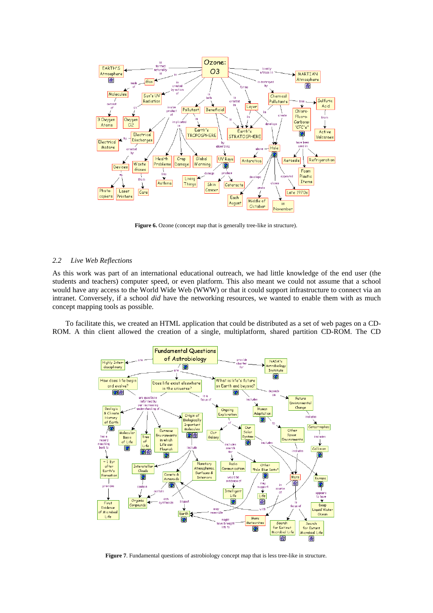

Figure 6. Ozone (concept map that is generally tree-like in structure).

### *2.2 Live Web Reflections*

As this work was part of an international educational outreach, we had little knowledge of the end user (the students and teachers) computer speed, or even platform. This also meant we could not assume that a school would have any access to the World Wide Web (WWW) or that it could support infrastructure to connect via an intranet. Conversely, if a school *did* have the networking resources, we wanted to enable them with as much concept mapping tools as possible.

To facilitate this, we created an HTML application that could be distributed as a set of web pages on a CD-ROM. A thin client allowed the creation of a single, multiplatform, shared partition CD-ROM. The CD



**Figure 7**. Fundamental questions of astrobiology concept map that is less tree-like in structure.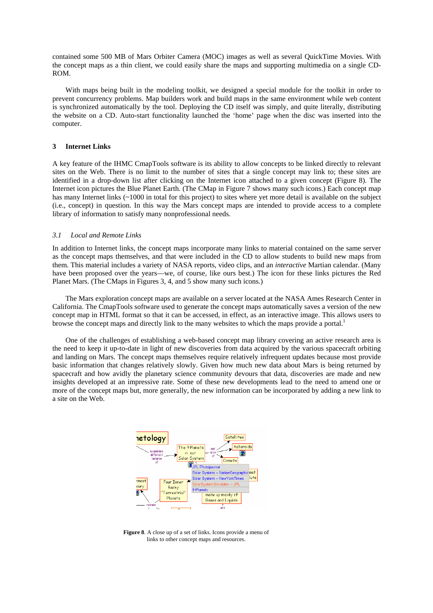contained some 500 MB of Mars Orbiter Camera (MOC) images as well as several QuickTime Movies. With the concept maps as a thin client, we could easily share the maps and supporting multimedia on a single CD-ROM.

With maps being built in the modeling toolkit, we designed a special module for the toolkit in order to prevent concurrency problems. Map builders work and build maps in the same environment while web content is synchronized automatically by the tool. Deploying the CD itself was simply, and quite literally, distributing the website on a CD. Auto-start functionality launched the 'home' page when the disc was inserted into the computer.

### **3 Internet Links**

A key feature of the IHMC CmapTools software is its ability to allow concepts to be linked directly to relevant sites on the Web. There is no limit to the number of sites that a single concept may link to; these sites are identified in a drop-down list after clicking on the Internet icon attached to a given concept (Figure 8). The Internet icon pictures the Blue Planet Earth. (The CMap in Figure 7 shows many such icons.) Each concept map has many Internet links (~1000 in total for this project) to sites where yet more detail is available on the subject (i.e., concept) in question. In this way the Mars concept maps are intended to provide access to a complete library of information to satisfy many nonprofessional needs.

## *3.1 Local and Remote Links*

In addition to Internet links, the concept maps incorporate many links to material contained on the same server as the concept maps themselves, and that were included in the CD to allow students to build new maps from them. This material includes a variety of NASA reports, video clips, and an *interactive* Martian calendar. (Many have been proposed over the years—we, of course, like ours best.) The icon for these links pictures the Red Planet Mars. (The CMaps in Figures 3, 4, and 5 show many such icons.)

The Mars exploration concept maps are available on a server located at the NASA Ames Research Center in California. The CmapTools software used to generate the concept maps automatically saves a version of the new concept map in HTML format so that it can be accessed, in effect, as an interactive image. This allows users to browse the concept maps and directly link to the many websites to which the maps provide a portal.<sup>1</sup>

One of the challenges of establishing a web-based concept map library covering an active research area is the need to keep it up-to-date in light of new discoveries from data acquired by the various spacecraft orbiting and landing on Mars. The concept maps themselves require relatively infrequent updates because most provide basic information that changes relatively slowly. Given how much new data about Mars is being returned by spacecraft and how avidly the planetary science community devours that data, discoveries are made and new insights developed at an impressive rate. Some of these new developments lead to the need to amend one or more of the concept maps but, more generally, the new information can be incorporated by adding a new link to a site on the Web.



**Figure 8**. A close up of a set of links. Icons provide a menu of links to other concept maps and resources.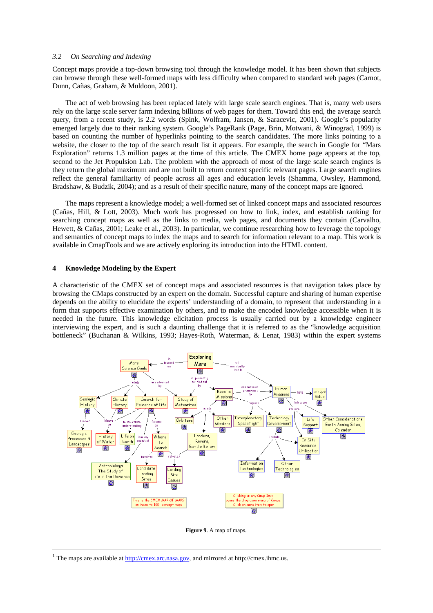#### *3.2 On Searching and Indexing*

Concept maps provide a top-down browsing tool through the knowledge model. It has been shown that subjects can browse through these well-formed maps with less difficulty when compared to standard web pages (Carnot, Dunn, Cañas, Graham, & Muldoon, 2001).

The act of web browsing has been replaced lately with large scale search engines. That is, many web users rely on the large scale server farm indexing billions of web pages for them. Toward this end, the average search query, from a recent study, is 2.2 words (Spink, Wolfram, Jansen, & Saracevic, 2001). Google's popularity emerged largely due to their ranking system. Google's PageRank (Page, Brin, Motwani, & Winograd, 1999) is based on counting the number of hyperlinks pointing to the search candidates. The more links pointing to a website, the closer to the top of the search result list it appears. For example, the search in Google for "Mars Exploration" returns 1.3 million pages at the time of this article. The CMEX home page appears at the top, second to the Jet Propulsion Lab. The problem with the approach of most of the large scale search engines is they return the global maximum and are not built to return context specific relevant pages. Large search engines reflect the general familiarity of people across all ages and education levels (Shamma, Owsley, Hammond, Bradshaw, & Budzik, 2004); and as a result of their specific nature, many of the concept maps are ignored.

The maps represent a knowledge model; a well-formed set of linked concept maps and associated resources (Cañas, Hill, & Lott, 2003). Much work has progressed on how to link, index, and establish ranking for searching concept maps as well as the links to media, web pages, and documents they contain (Carvalho, Hewett, & Cañas, 2001; Leake et al., 2003). In particular, we continue researching how to leverage the topology and semantics of concept maps to index the maps and to search for information relevant to a map. This work is available in CmapTools and we are actively exploring its introduction into the HTML content.

## **4 Knowledge Modeling by the Expert**

A characteristic of the CMEX set of concept maps and associated resources is that navigation takes place by browsing the CMaps constructed by an expert on the domain. Successful capture and sharing of human expertise depends on the ability to elucidate the experts' understanding of a domain, to represent that understanding in a form that supports effective examination by others, and to make the encoded knowledge accessible when it is needed in the future. This knowledge elicitation process is usually carried out by a knowledge engineer interviewing the expert, and is such a daunting challenge that it is referred to as the "knowledge acquisition bottleneck" (Buchanan & Wilkins, 1993; Hayes-Roth, Waterman, & Lenat, 1983) within the expert systems



**Figure 9**. A map of maps.

 $1$  The maps are available at  $\frac{http://cmez.arc.nasa.gov}{}$ , and mirrored at http://cmex.ihmc.us.